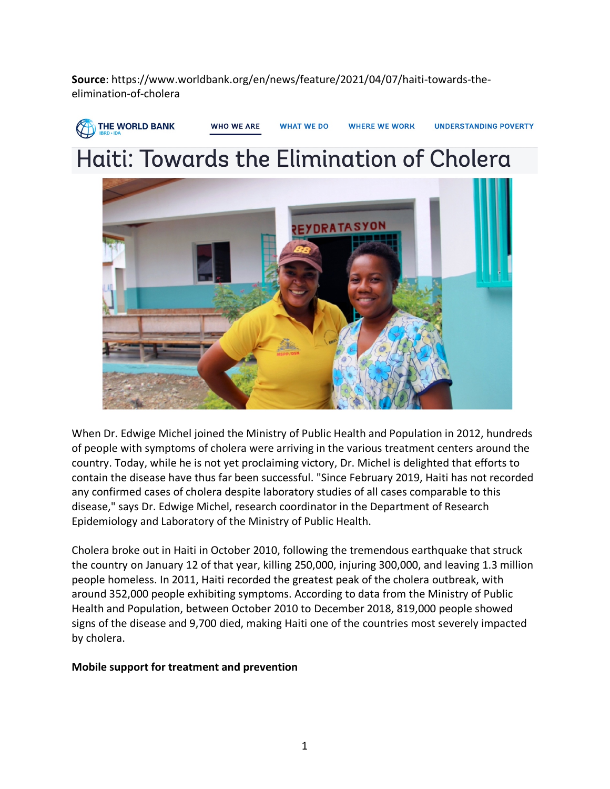**Source**: https://www.worldbank.org/en/news/feature/2021/04/07/haiti-towards-theelimination-of-cholera



## Haiti: Towards the Elimination of Cholera



When Dr. Edwige Michel joined the Ministry of Public Health and Population in 2012, hundreds of people with symptoms of cholera were arriving in the various treatment centers around the country. Today, while he is not yet proclaiming victory, Dr. Michel is delighted that efforts to contain the disease have thus far been successful. "Since February 2019, Haiti has not recorded any confirmed cases of cholera despite laboratory studies of all cases comparable to this disease," says Dr. Edwige Michel, research coordinator in the Department of Research Epidemiology and Laboratory of the Ministry of Public Health.

Cholera broke out in Haiti in October 2010, following the tremendous earthquake that struck the country on January 12 of that year, killing 250,000, injuring 300,000, and leaving 1.3 million people homeless. In 2011, Haiti recorded the greatest peak of the cholera outbreak, with around 352,000 people exhibiting symptoms. According to data from the Ministry of Public Health and Population, between October 2010 to December 2018, 819,000 people showed signs of the disease and 9,700 died, making Haiti one of the countries most severely impacted by cholera.

## **Mobile support for treatment and prevention**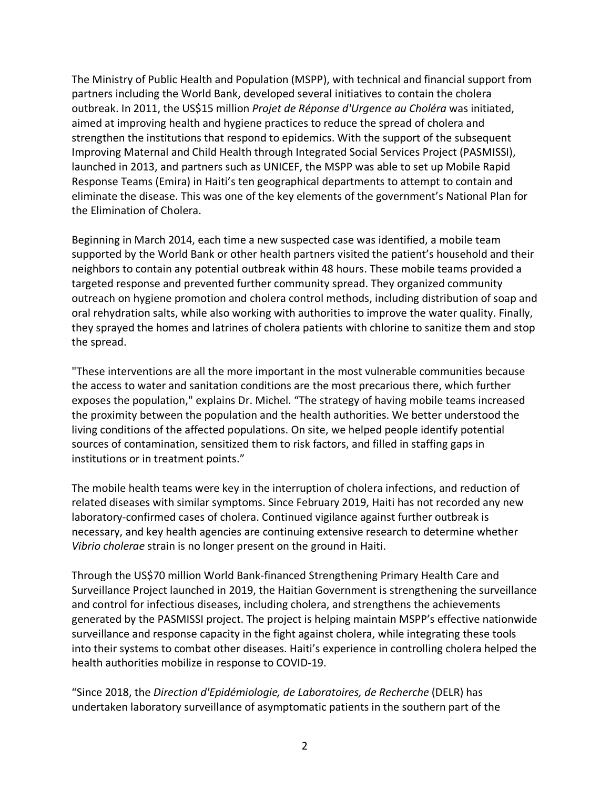The Ministry of Public Health and Population (MSPP), with technical and financial support from partners including the World Bank, developed several initiatives to contain the cholera outbreak. In 2011, the US\$15 million *Projet de Réponse d'Urgence au Choléra* was initiated, aimed at improving health and hygiene practices to reduce the spread of cholera and strengthen the institutions that respond to epidemics. With the support of the subsequent Improving Maternal and Child Health through Integrated Social Services Project (PASMISSI), launched in 2013, and partners such as UNICEF, the MSPP was able to set up Mobile Rapid Response Teams (Emira) in Haiti's ten geographical departments to attempt to contain and eliminate the disease. This was one of the key elements of the government's National Plan for the Elimination of Cholera.

Beginning in March 2014, each time a new suspected case was identified, a mobile team supported by the World Bank or other health partners visited the patient's household and their neighbors to contain any potential outbreak within 48 hours. These mobile teams provided a targeted response and prevented further community spread. They organized community outreach on hygiene promotion and cholera control methods, including distribution of soap and oral rehydration salts, while also working with authorities to improve the water quality. Finally, they sprayed the homes and latrines of cholera patients with chlorine to sanitize them and stop the spread.

"These interventions are all the more important in the most vulnerable communities because the access to water and sanitation conditions are the most precarious there, which further exposes the population," explains Dr. Michel. "The strategy of having mobile teams increased the proximity between the population and the health authorities. We better understood the living conditions of the affected populations. On site, we helped people identify potential sources of contamination, sensitized them to risk factors, and filled in staffing gaps in institutions or in treatment points."

The mobile health teams were key in the interruption of cholera infections, and reduction of related diseases with similar symptoms. Since February 2019, Haiti has not recorded any new laboratory-confirmed cases of cholera. Continued vigilance against further outbreak is necessary, and key health agencies are continuing extensive research to determine whether *Vibrio cholerae* strain is no longer present on the ground in Haiti.

Through the US\$70 million World Bank-financed Strengthening Primary Health Care and Surveillance Project launched in 2019, the Haitian Government is strengthening the surveillance and control for infectious diseases, including cholera, and strengthens the achievements generated by the PASMISSI project. The project is helping maintain MSPP's effective nationwide surveillance and response capacity in the fight against cholera, while integrating these tools into their systems to combat other diseases. Haiti's experience in controlling cholera helped the health authorities mobilize in response to COVID-19.

"Since 2018, the *Direction d'Epidémiologie, de Laboratoires, de Recherche* (DELR) has undertaken laboratory surveillance of asymptomatic patients in the southern part of the